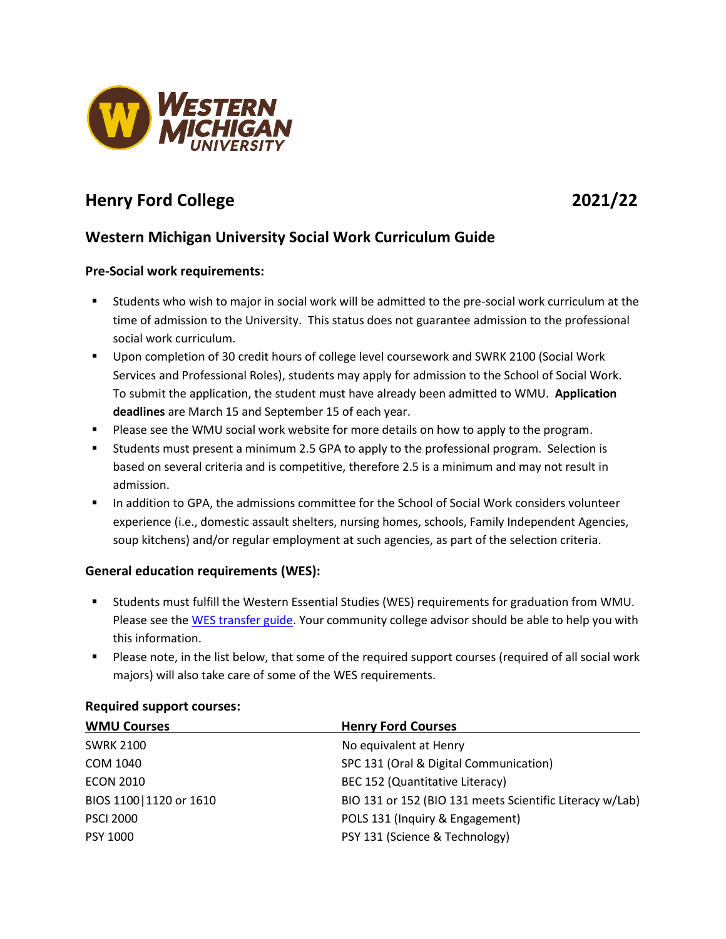

# **Henry Ford College 2021/22**

# **Western Michigan University Social Work Curriculum Guide**

# **Pre-Social work requirements:**

- Students who wish to major in social work will be admitted to the pre-social work curriculum at the time of admission to the University. This status does not guarantee admission to the professional social work curriculum.
- Upon completion of 30 credit hours of college level coursework and SWRK 2100 (Social Work Services and Professional Roles), students may apply for admission to the School of Social Work. To submit the application, the student must have already been admitted to WMU. **Application deadlines** are March 15 and September 15 of each year.
- **Please see the WMU social work website for more details on how to apply to the program.**
- Students must present a minimum 2.5 GPA to apply to the professional program. Selection is based on several criteria and is competitive, therefore 2.5 is a minimum and may not result in admission.
- In addition to GPA, the admissions committee for the School of Social Work considers volunteer experience (i.e., domestic assault shelters, nursing homes, schools, Family Independent Agencies, soup kitchens) and/or regular employment at such agencies, as part of the selection criteria.

# **General education requirements (WES):**

- Students must fulfill the Western Essential Studies (WES) requirements for graduation from WMU. Please see the WES [transfer guide.](http://www.wmich.edu/admissions/transfer/guides/hfc) Your community college advisor should be able to help you with this information.
- Please note, in the list below, that some of the required support courses (required of all social work majors) will also take care of some of the WES requirements.

| <b>WMU Courses</b>       | <b>Henry Ford Courses</b>                                |
|--------------------------|----------------------------------------------------------|
| <b>SWRK 2100</b>         | No equivalent at Henry                                   |
| COM 1040                 | SPC 131 (Oral & Digital Communication)                   |
| <b>ECON 2010</b>         | BEC 152 (Quantitative Literacy)                          |
| BIOS 1100   1120 or 1610 | BIO 131 or 152 (BIO 131 meets Scientific Literacy w/Lab) |
| <b>PSCI 2000</b>         | POLS 131 (Inquiry & Engagement)                          |
| PSY 1000                 | PSY 131 (Science & Technology)                           |

#### **Required support courses:**